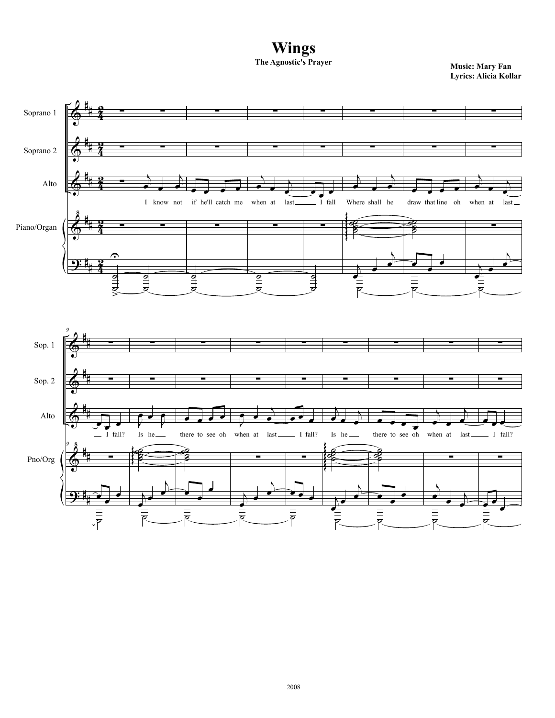**Wings**<br>The Agnostic's Prayer

**Music: Mary Fan Lyrics: Alicia Kollar**

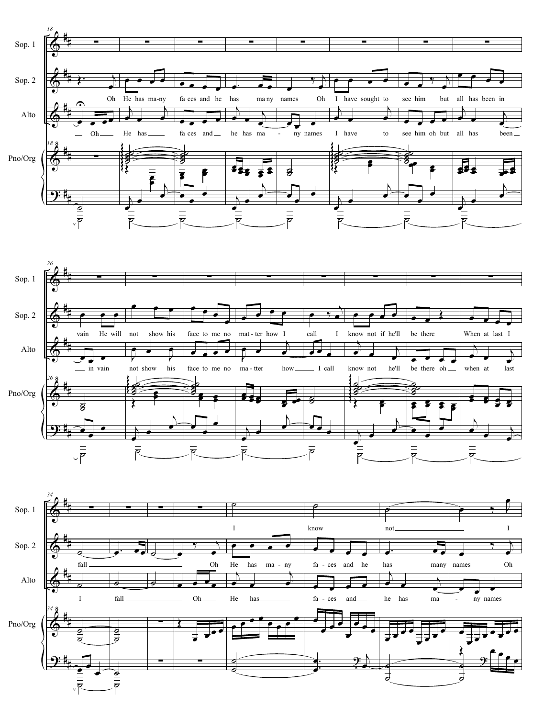



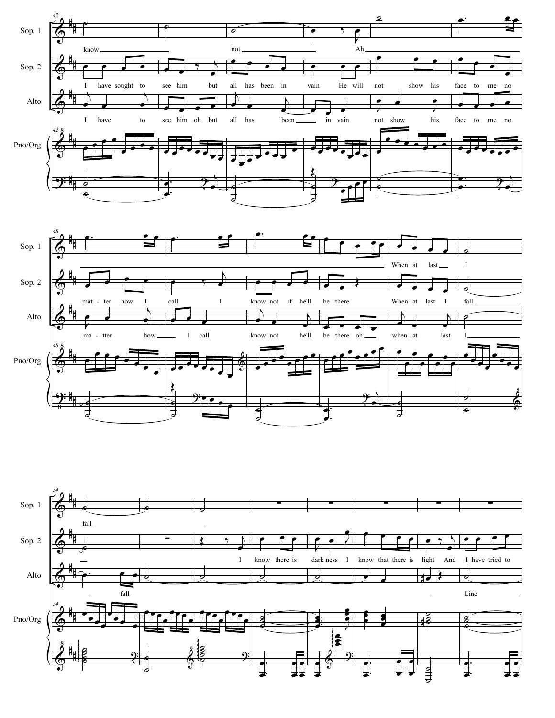



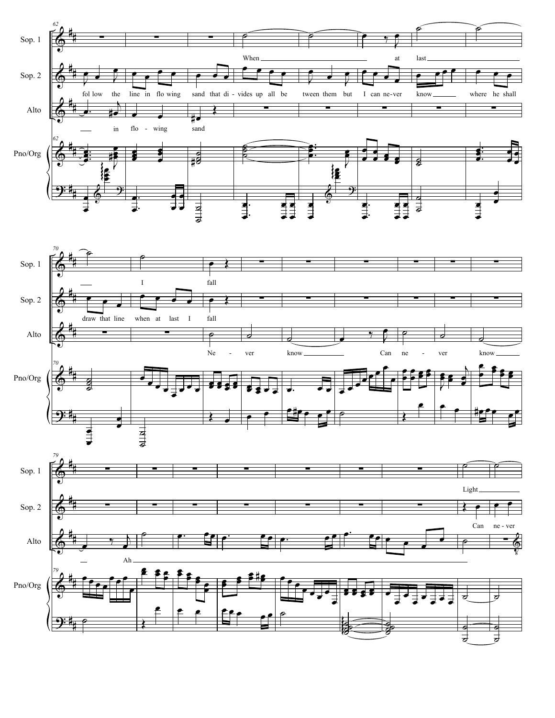



œ

 $\overline{\phantom{a}}$ 

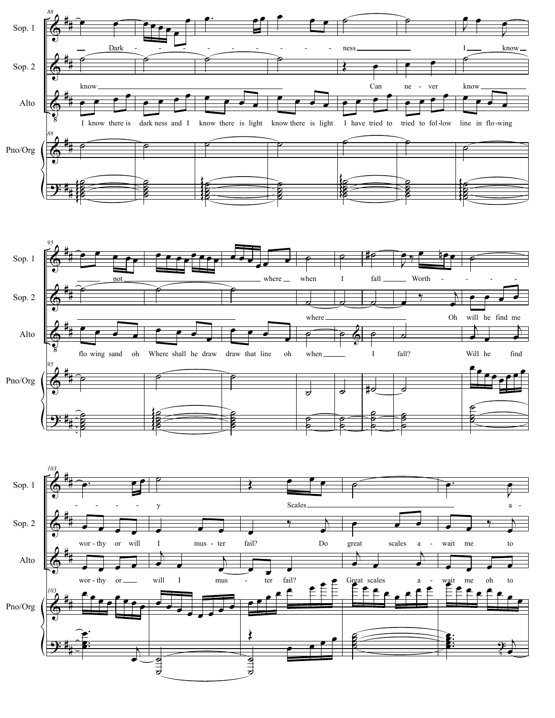



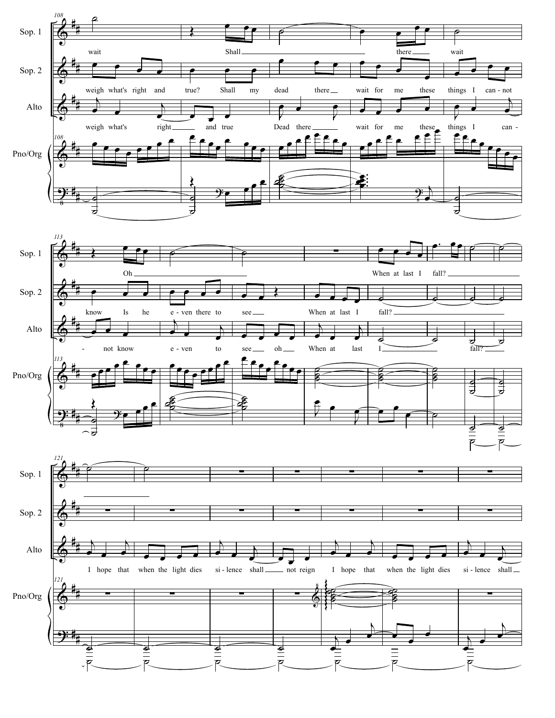